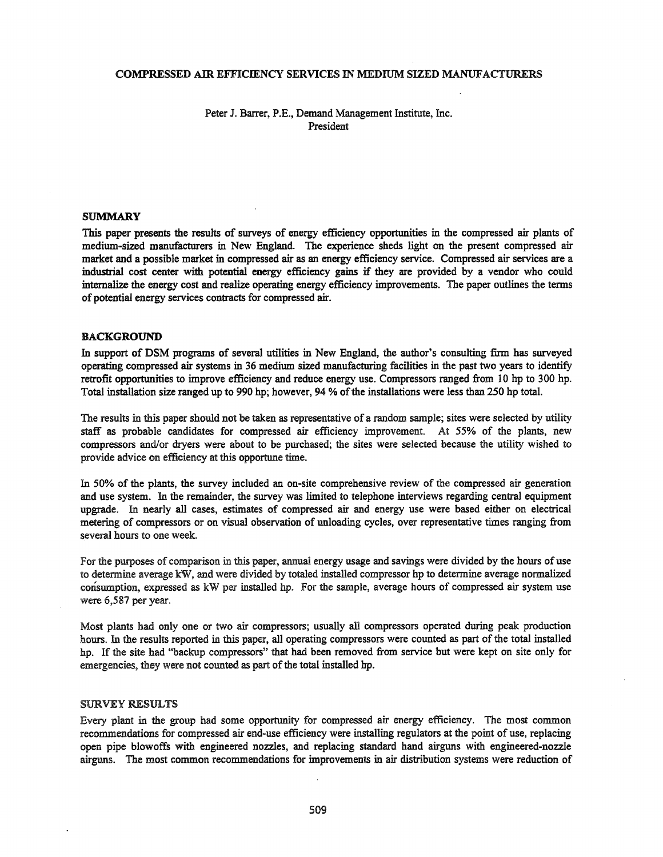#### COMPRESSED AIR EFFICIENCY SERVICES IN MEDIUM SIZED MANUFACTURERS

## Peter J. Barrer, P.E., Demand Management Institute, Inc. President

#### **SUMMARY**

This paper presents the results of surveys of energy efficiency opportunities in the compressed air plants of medium-sized manufacturers in New England. The experience sheds light on the present compressed air market and a possible market in compressed air as an energy efficiency service. Compressed air services are a industrial cost center with potential energy efficiency gains if they are provided by a vendor who could internalize the energy cost and realize operating energy efficiency improvements. The paper outlines the terms of potential energy services contracts for compressed air.

#### BACKGROUND

In support of DSM programs of several utilities in New England, the author's consulting firm has surveyed operating compressed air systems in 36 medium sized manufacturing facilities in the past two years to identify retrofit opportunities to improve efficiency and reduce energy use. Compressors ranged from 10 hp to 300 hp. Total installation size ranged up to 990 hp; however, 94 % ofthe installations were less than 250 hp total.

The results in this paper should not be taken as representative of a random sample; sites were selected by utility staff as probable candidates for compressed air efficiency improvement. At 55% of the plants, new compressors andlor dryers were about to be purchased; the sites were selected because the utility wished to provide advice on efficiency at this opportune time.

In 50% of the plants, the survey included an on-site comprehensive review of the compressed air generation and use system. In the remainder, the survey was limited to telephone interviews regarding central equipment upgrade. In nearly all cases, estimates of compressed air and energy use were based either on electrical metering of compressors or on visual observation of unloading cycles, over representative times ranging from several hours to one week.

For the purposes of comparison in this paper, annual energy usage and savings were divided by the hours of use to determine average kW, and were divided by totaled installed compressor hp to determine average normalized consumption, expressed as kW per installed hp. For the sample, average hours of compressed air system use were 6,587 per year.

Most plants had only one or two air compressors; usually all compressors operated during peak production hours. In the results reported in this paper, all operating compressors were counted as part of the total installed hp. If the site had "backup compressors" that had been removed from service but were kept on site only for emergencies, they were not counted as part of the total installed hp.

#### SURVEY RESULTS

Every plant in the group had some opportunity for compressed air energy efficiency. The most common recommendations for compressed air end-use efficiency were installing regulators at the point of use, replacing open pipe blowoffs with engineered nozzles, and replacing standard hand airguns with engineered-nozzle airguns. The most common recommendations for improvements in air distribution systems were reduction of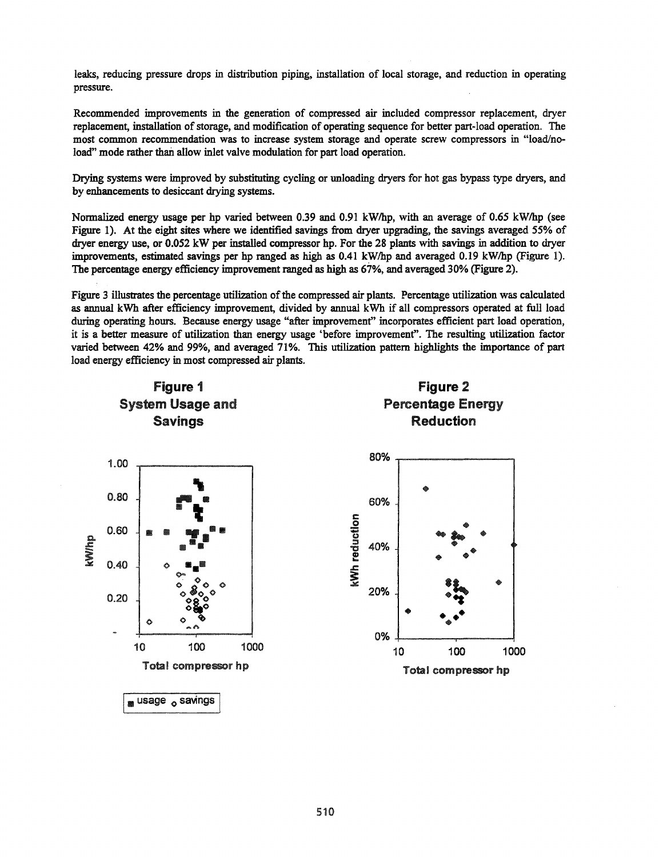leaks, reducing pressure drops in distribution piping, installation of local storage, and reduction in operating pressure.

Recommended improvements in the generation of compressed air included compressor replacement, dryer replacement, installation of storage, and modification of operating sequence for better part-load operation. The most common recommendation was to increase system storage and operate screw compressors in "load/noload" mode rather than allow inlet valve modulation for part load operation.

Drying systems were improved by substituting cycling or unloading dryers for hot gas bypass type dryers, and by enhancements to desiccant drying systems.

Normalized energy usage per hp varied between 0.39 and 0.91 kWlhp, with an average of 0.65 kWlhp (see Figure 1). At the eight sites where we identified savings from dryer upgrading, the savings averaged 55% of dryer energy use, or 0.052 kW per installed compressor hp. For the 28 plants with savings in addition to dryer improvements, estimated savings per hp ranged as high as 0.41 kWlhp and averaged 0.19 kWlhp (Figure 1). The percentage energy efficiency improvement ranged as high as 67%, and averaged 30% (Figure 2).

Figure 3 illustrates the percentage utilization of the compressed air plants. Percentage utilization was calculated as annual kWh after efficiency improvement, divided by annual kWh if all compressors operated at full load during operating hours. Because energy usage "after improvement" incorporates efficient part load operation, it is a better measure of utilization than energy usage 'before improvement". The resulting utilization factor varied between 42% and 99%, and averaged 71%. This utilization pattern highlights the importance of part load energy efficiency in most compressed air plants.

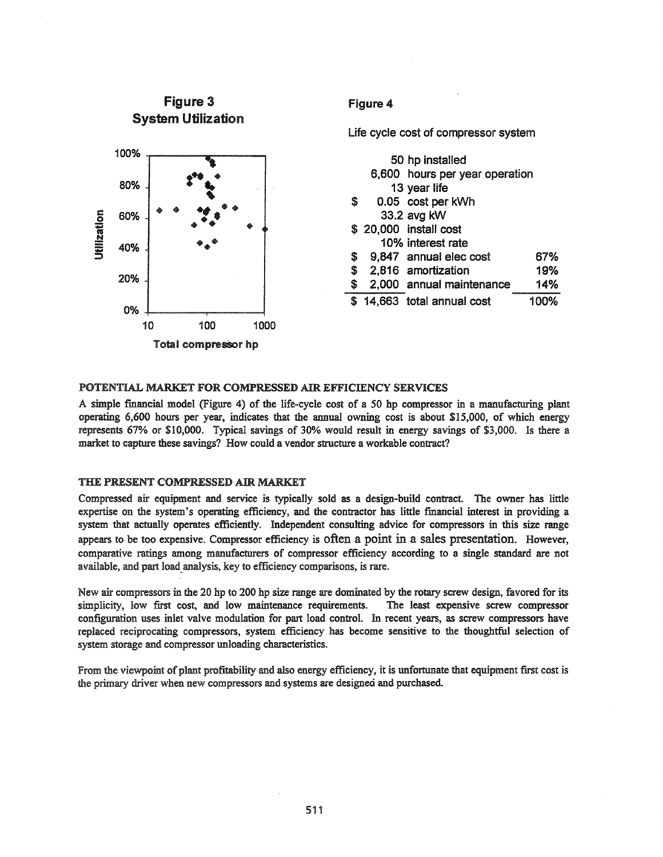

# POTENTIAL MARKET FOR COMPRESSED AIR EFFICIENCY SERVICES

A simple fmancial model (Figure 4) of the life-cycle cost of a 50 hp compressor in a manufacturing plant operating 6,600 hours per year, indicates that the annual owning cost is about \$15,000, of which energy represents 67% or \$10,000. Typical savings of 30% would result in energy savings of \$3,000. Is there a market to capture these savings? How could a vendor structure a workable contract?

### THE PRESENT COMPRESSED AIR MARKET

Compressed air equipment and service is typically sold as a design-build contract. The owner has little expertise on the system's operating efficiency, and the contractor has little financial interest in providing a system that actually operates efficiently. Independent consulting advice for compressors in this size range appears to be too expensive. Compressor efficiency is often a point in a sales presentation. However, comparative ratings among manufacturers of compressor efficiency according to a single standard are not available, and part load\_analysis, key to efficiency comparisons, is rare.

New air compressors in the 20 hp to 200 hp size range are dominated by the rotary screw design, favored for its simplicity, low first cost, and low maintenance requirements. The least expensive screw compressor configuration uses inlet valve modulation for part load control. In recent years, as screw compressors have replaced reciprocating compressors, system efficiency has become sensitive to the thoughtful selection of system storage and compressor unloading characteristics.

From the viewpoint of plant profitability and also energy efficiency, it is unfortunate that equipment first cost is the primary driver when new compressors and systems are designed and purchased.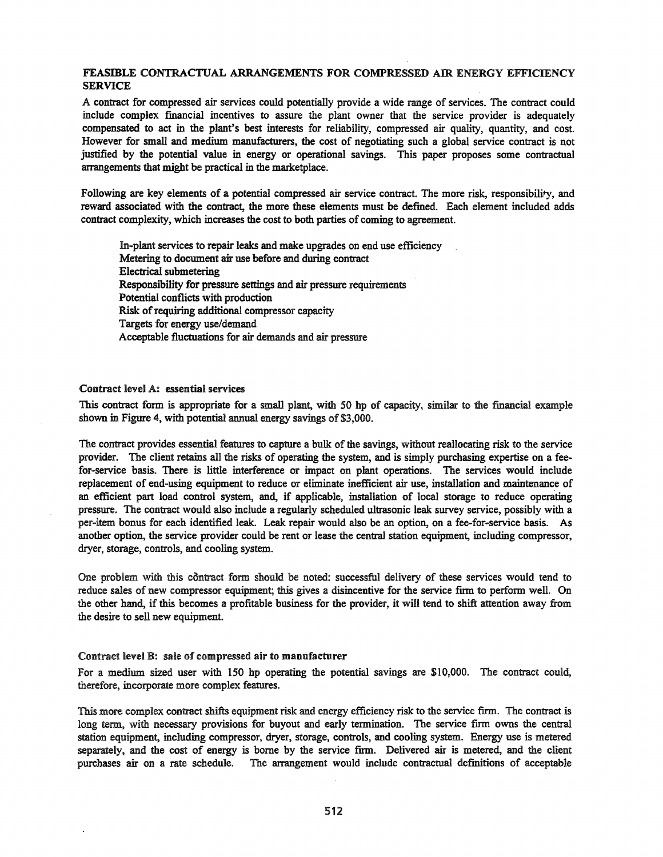# FEASmLE CONTRACTUAL ARRANGEMENTS FOR COMPRESSED AIR ENERGY EFFICIENCY **SERVICE**

A contract for compressed air services could potentially provide a wide range of services. The contract could include complex financial incentives to assure the plant owner that the service provider is adequately compensated to act in the plant's best interests for reliability, compressed air quality, quantity, and cost. However for small and medium manufacturers, the cost of negotiating such a global service contract is not justified by the potential value in energy or operational savings. This paper proposes some contractual arrangements that might be practical in the marketplace.

Following are key elements of a potential compressed air service contract. The more risk, responsibility, and reward associated with the contract, the more these elements must be defined. Each element included adds contract complexity, which increases the cost to both parties of coming to agreement.

In-plant services to repair leaks and make upgrades on end use efficiency Metering to document air use before and during contract Electrical submetering Responsibility for pressure settings and air pressure requirements Potential conflicts with production Risk of requiring additional compressor capacity Targets for energy use/demand Acceptable fluctuations for air demands and air pressure

### Contract level A: essential services

This contract form is appropriate for a small plant, with 50 hp of capacity, similar to the financial example shown in Figure 4, with potential annual energy savings of \$3,000.

The contract provides essential features to capture a bulk of the savings, without reallocating risk to the service provider. The client retains all the risks of operating the system, and is simply purchasing expertise on a feefor-service basis. There is little interference or impact on plant operations. The services would include replacement of end-using equipment to reduce or eliminate inefficient air use, installation and maintenance of an efficient part load control system, and, if applicable, installation of local storage to reduce operating pressure. The contract would also include a regularly scheduled ultrasonic leak survey service, possibly with a per-item bonus for each identified leak. Leak repair would also be an option, on a fee-for-service basis. As another option, the service provider could be rent or lease the central station equipment, including compressor, dryer, storage, controls, and cooling system.

One problem with this contract form should be noted: successful delivery of these services would tend to reduce sales of new compressor equipment; this gives a disincentive for the service firm to perform well. On the other hand, ifthis becomes a profitable business for the provider, it will tend to shift attention away from the desire to sell new equipment.

#### Contract level B: sale of compressed air to manufacturer

For a medium sized user with 150 hp operating the potential savings are \$10,000. The contract could, therefore, incorporate more complex features.

This more complex contract shifts equipment risk and energy efficiency risk to the service firm. The contract is long term, with necessary provisions for buyout and early termination. The service firm owns the central station equipment, including compressor, dryer, storage, controls, and cooling system. Energy use is metered separately, and the cost of energy is borne by the service firm. Delivered air is metered, and the client purchases air on a rate schedule. The arrangement would include contractual definitions of acceptable